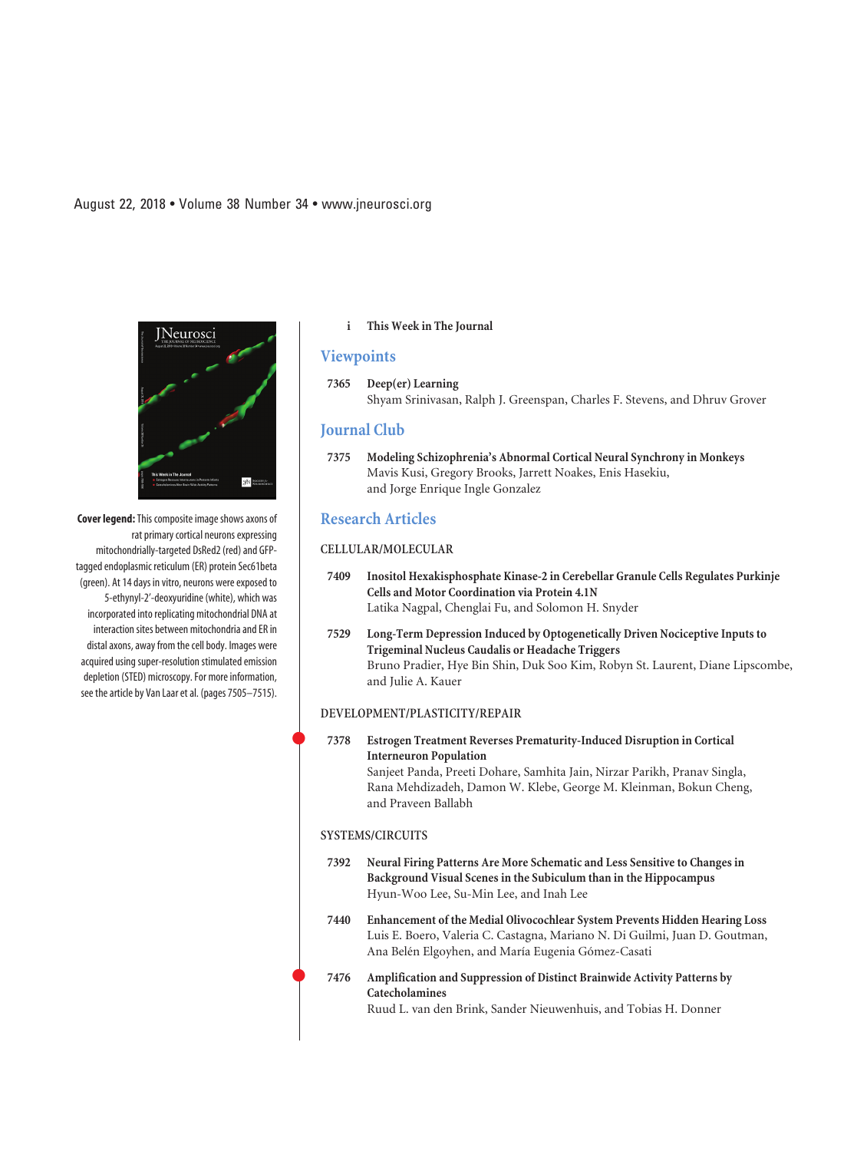**Cover legend:**This composite image shows axons of rat primary cortical neurons expressing mitochondrially-targeted DsRed2 (red) and GFPtagged endoplasmic reticulum (ER) protein Sec61beta (green). At 14 days in vitro, neurons were exposed to 5-ethynyl-2'-deoxyuridine (white), which was incorporated into replicating mitochondrial DNA at interaction sites between mitochondria and ER in distal axons, away from the cell body. Images were acquired using super-resolution stimulated emission depletion (STED) microscopy. For more information, see the article by Van Laar et al. (pages 7505–7515).

## **i This Week in The Journal**

## **Viewpoints**

**7365 Deep(er) Learning** Shyam Srinivasan, Ralph J. Greenspan, Charles F. Stevens, and Dhruv Grover

### **Journal Club**

**7375 Modeling Schizophrenia's Abnormal Cortical Neural Synchrony in Monkeys** Mavis Kusi, Gregory Brooks, Jarrett Noakes, Enis Hasekiu, and Jorge Enrique Ingle Gonzalez

## **Research Articles**

## **CELLULAR/MOLECULAR**

- **7409 Inositol Hexakisphosphate Kinase-2 in Cerebellar Granule Cells Regulates Purkinje Cells and Motor Coordination via Protein 4.1N** Latika Nagpal, Chenglai Fu, and Solomon H. Snyder
- **7529 Long-Term Depression Induced by Optogenetically Driven Nociceptive Inputs to Trigeminal Nucleus Caudalis or Headache Triggers** Bruno Pradier, Hye Bin Shin, Duk Soo Kim, Robyn St. Laurent, Diane Lipscombe, and Julie A. Kauer

#### **DEVELOPMENT/PLASTICITY/REPAIR**

 **7378 Estrogen Treatment Reverses Prematurity-Induced Disruption in Cortical Interneuron Population** Sanjeet Panda, Preeti Dohare, Samhita Jain, Nirzar Parikh, Pranav Singla, Rana Mehdizadeh, Damon W. Klebe, George M. Kleinman, Bokun Cheng, and Praveen Ballabh

## **SYSTEMS/CIRCUITS**

 $\bullet$ 

 $\bullet$ 

- **7392 Neural Firing Patterns Are More Schematic and Less Sensitive to Changes in Background Visual Scenes in the Subiculum than in the Hippocampus** Hyun-Woo Lee, Su-Min Lee, and Inah Lee
- **7440 Enhancement of the Medial Olivocochlear System Prevents Hidden Hearing Loss** Luis E. Boero, Valeria C. Castagna, Mariano N. Di Guilmi, Juan D. Goutman, Ana Belén Elgoyhen, and María Eugenia Gómez-Casati
- **7476 Amplification and Suppression of Distinct Brainwide Activity Patterns by Catecholamines** Ruud L. van den Brink, Sander Nieuwenhuis, and Tobias H. Donner